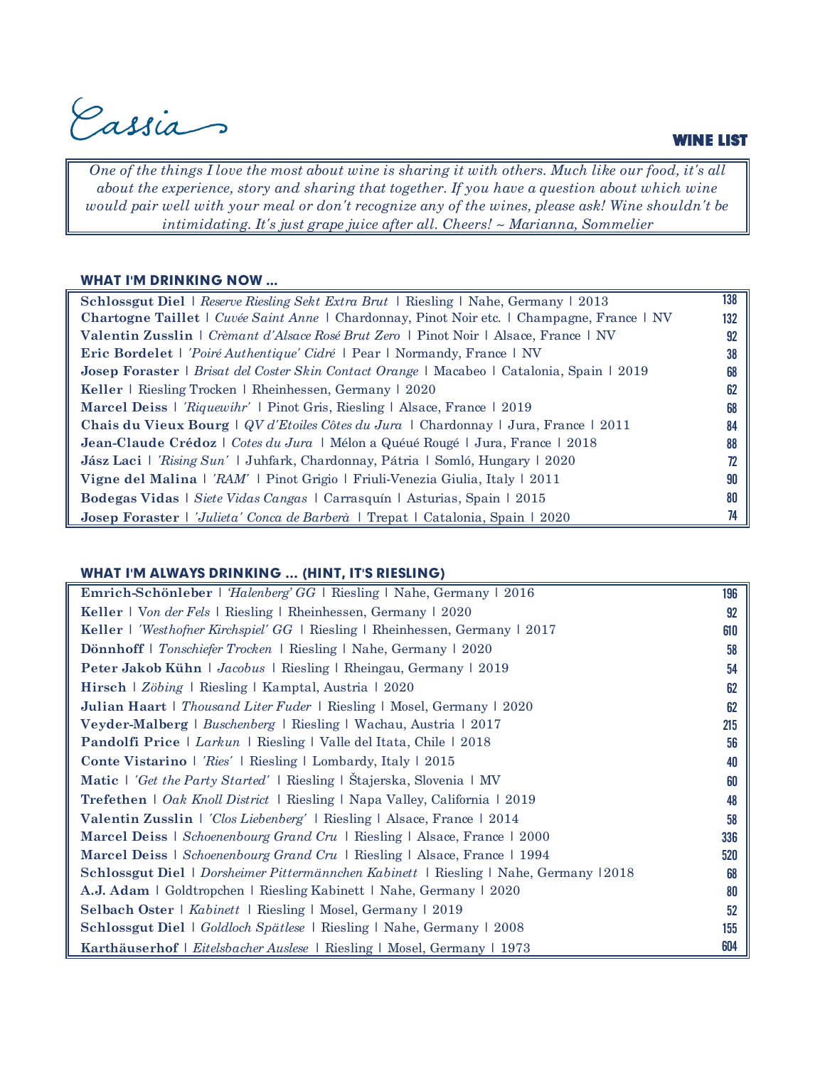Cassia

#### WINE LIST

*One of the things I love the most about wine is sharing it with others. Much like our food, it's all about the experience, story and sharing that together. If you have a question about which wine would pair well with your meal or don't recognize any of the wines, please ask! Wine shouldn't be intimidating. It's just grape juice after all. Cheers! ~ Marianna, Sommelier*

#### WHAT I'M DRINKING NOW ...

| Schlossgut Diel   Reserve Riesling Sekt Extra Brut   Riesling   Nahe, Germany   2013                     | 138 |
|----------------------------------------------------------------------------------------------------------|-----|
| Chartogne Taillet   Cuvée Saint Anne   Chardonnay, Pinot Noir etc.   Champagne, France   NV              | 132 |
| Valentin Zusslin   Crèmant d'Alsace Rosé Brut Zero   Pinot Noir   Alsace, France   NV                    | 92  |
| <b>Eric Bordelet</b>   <i>'Poiré Authentique' Cidré</i>   Pear   Normandy, France   NV                   | 38  |
| <b>Josep Foraster</b>   <i>Brisat del Coster Skin Contact Orange</i>   Macabeo   Catalonia, Spain   2019 | 68  |
| Keller   Riesling Trocken   Rheinhessen, Germany   2020                                                  | 62  |
| <b>Marcel Deiss</b>   <i>Riquewihr'</i>   Pinot Gris, Riesling   Alsace, France   2019                   | 68  |
| Chais du Vieux Bourg   QV d'Etoiles Côtes du Jura   Chardonnay   Jura, France   2011                     | 84  |
| Jean-Claude Crédoz   Cotes du Jura   Mélon a Quéué Rougé   Jura, France   2018                           | 88  |
| <b>Jász Laci</b>   <i>'Rising Sun'</i>   Juhfark, Chardonnay, Pátria   Somló, Hungary   2020             |     |
| Vigne del Malina   'RAM'   Pinot Grigio   Friuli-Venezia Giulia, Italy   2011                            | 90  |
| Bodegas Vidas   Siete Vidas Cangas   Carrasquín   Asturias, Spain   2015                                 | 80  |
| <b>Josep Foraster</b>   <i>'Julieta' Conca de Barberà</i>   Trepat   Catalonia, Spain   2020             |     |

### WHAT I'M ALWAYS DRINKING … (HINT, IT'S RIESLING)

| Emrich-Schönleber   'Halenberg' GG   Riesling   Nahe, Germany   2016                   | 196 |
|----------------------------------------------------------------------------------------|-----|
| Keller   Von der Fels   Riesling   Rheinhessen, Germany   2020                         | 92  |
| Keller   'Westhofner Kirchspiel' GG   Riesling   Rheinhessen, Germany   2017           | 610 |
| Dönnhoff   Tonschiefer Trocken   Riesling   Nahe, Germany   2020                       | 58  |
| Peter Jakob Kühn   Jacobus   Riesling   Rheingau, Germany   2019                       | 54  |
| Hirsch   Zöbing   Riesling   Kamptal, Austria   2020                                   | 62  |
| Julian Haart   Thousand Liter Fuder   Riesling   Mosel, Germany   2020                 | 62  |
| Veyder-Malberg   Buschenberg   Riesling   Wachau, Austria   2017                       | 215 |
| Pandolfi Price   Larkun   Riesling   Valle del Itata, Chile   2018                     | 56  |
| Conte Vistarino   'Ries'   Riesling   Lombardy, Italy   2015                           | 40  |
| Matic   'Get the Party Started'   Riesling   Stajerska, Slovenia   MV                  | 60  |
| Trefethen   Oak Knoll District   Riesling   Napa Valley, California   2019             | 48  |
| Valentin Zusslin   <i>'Clos Liebenberg'</i>   Riesling   Alsace, France   2014         | 58  |
| Marcel Deiss   Schoenenbourg Grand Cru   Riesling   Alsace, France   2000              | 336 |
| Marcel Deiss   Schoenenbourg Grand Cru   Riesling   Alsace, France   1994              | 520 |
| Schlossgut Diel   Dorsheimer Pittermännchen Kabinett   Riesling   Nahe, Germany   2018 | 68  |
| A.J. Adam   Goldtropchen   Riesling Kabinett   Nahe, Germany   2020                    | 80  |
| Selbach Oster   Kabinett   Riesling   Mosel, Germany   2019                            | 52  |
| <b>Schlossgut Diel</b>   Goldloch Spätlese   Riesling   Nahe, Germany   2008           | 155 |
| Karthäuserhof   Eitelsbacher Auslese   Riesling   Mosel, Germany   1973                | 604 |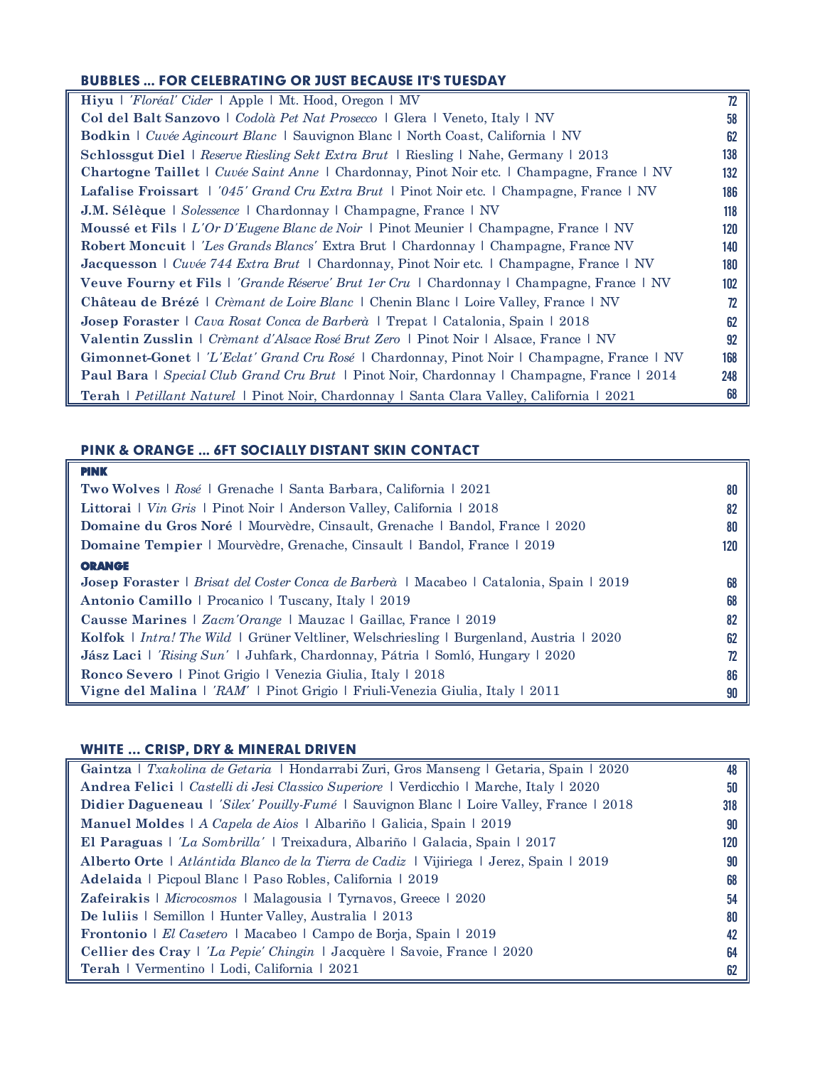## BUBBLES ... FOR CELEBRATING OR JUST BECAUSE IT'S TUESDAY

| Hiyu   'Floréal' Cider   Apple   Mt. Hood, Oregon   MV                                             | 72  |
|----------------------------------------------------------------------------------------------------|-----|
| Col del Balt Sanzovo   Codolà Pet Nat Prosecco   Glera   Veneto, Italy   NV                        | 58  |
| <b>Bodkin</b>   <i>Cuvée Agincourt Blanc</i>   Sauvignon Blanc   North Coast, California   NV      | 62  |
| <b>Schlossgut Diel</b>   Reserve Riesling Sekt Extra Brut   Riesling   Nahe, Germany   2013        | 138 |
| Chartogne Taillet   Cuvée Saint Anne   Chardonnay, Pinot Noir etc.   Champagne, France   NV        | 132 |
| Lafalise Froissart   '045' Grand Cru Extra Brut   Pinot Noir etc.   Champagne, France   NV         | 186 |
| <b>J.M. Sélèque</b>   Solessence   Chardonnay   Champagne, France   NV                             | 118 |
| Moussé et Fils   L'Or D'Eugene Blanc de Noir   Pinot Meunier   Champagne, France   NV              | 120 |
| Robert Moncuit   'Les Grands Blancs' Extra Brut   Chardonnay   Champagne, France NV                | 140 |
| Jacquesson   Cuvée 744 Extra Brut   Chardonnay, Pinot Noir etc.   Champagne, France   NV           | 180 |
| Veuve Fourny et Fils   <i>'Grande Réserve' Brut 1er Cru</i>   Chardonnay   Champagne, France   NV  | 102 |
| <b>Château de Brézé</b>   Crèmant de Loire Blanc   Chenin Blanc   Loire Valley, France   NV        | 72  |
| Josep Foraster   Cava Rosat Conca de Barberà   Trepat   Catalonia, Spain   2018                    | 62  |
| Valentin Zusslin   Crèmant d'Alsace Rosé Brut Zero   Pinot Noir   Alsace, France   NV              | 92  |
| Gimonnet-Gonet   <i>'L'Eclat' Grand Cru Rosé</i>   Chardonnay, Pinot Noir   Champagne, France   NV | 168 |
| <b>Paul Bara</b>   Special Club Grand Cru Brut   Pinot Noir, Chardonnay   Champagne, France   2014 | 248 |
| Terah   Petillant Naturel   Pinot Noir, Chardonnay   Santa Clara Valley, California   2021         | 68  |

# PINK & ORANGE ... 6FT SOCIALLY DISTANT SKIN CONTACT

| <b>PINK</b>                                                                                            |     |
|--------------------------------------------------------------------------------------------------------|-----|
| <b>Two Wolves</b>   Rosé   Grenache   Santa Barbara, California   2021                                 | 80  |
| Littorai   <i>Vin Gris</i>   Pinot Noir   Anderson Valley, California   2018                           | 82  |
| Domaine du Gros Noré   Mourvèdre, Cinsault, Grenache   Bandol, France   2020                           | 80  |
| <b>Domaine Tempier</b>   Mourvèdre, Grenache, Cinsault   Bandol, France   2019                         | 120 |
| <b>ORANGE</b>                                                                                          |     |
| Josep Foraster   Brisat del Coster Conca de Barberà   Macabeo   Catalonia, Spain   2019                | 68  |
| Antonio Camillo   Procanico   Tuscany, Italy   2019                                                    | 68  |
| Causse Marines   Zacm'Orange   Mauzac   Gaillac, France   2019                                         | 82  |
| <b>Kolfok</b>   <i>Intra! The Wild</i>   Grüner Veltliner, Welschriesling   Burgenland, Austria   2020 | 62  |
| <b>Jász Laci</b>   <i>'Rising Sun'</i>   Juhfark, Chardonnay, Pátria   Somló, Hungary   2020           | 72  |
| Ronco Severo   Pinot Grigio   Venezia Giulia, Italy   2018                                             | 86  |
| Vigne del Malina   'RAM'   Pinot Grigio   Friuli-Venezia Giulia, Italy   2011                          | 90  |

### WHITE … CRISP, DRY & MINERAL DRIVEN

| Gaintza   Txakolina de Getaria   Hondarrabi Zuri, Gros Manseng   Getaria, Spain   2020                | 48  |
|-------------------------------------------------------------------------------------------------------|-----|
| Andrea Felici   Castelli di Jesi Classico Superiore   Verdicchio   Marche, Italy   2020               | 50  |
| <b>Didier Dagueneau</b>   <i>'Silex' Pouilly-Fumé</i>   Sauvignon Blanc   Loire Valley, France   2018 | 318 |
| <b>Manuel Moldes</b>   A Capela de Aios   Albariño   Galicia, Spain   2019                            | 90  |
| El Paraguas   'La Sombrilla'   Treixadura, Albariño   Galacia, Spain   2017                           | 120 |
| Alberto Orte   Atlántida Blanco de la Tierra de Cadiz   Vijiriega   Jerez, Spain   2019               | 90  |
| Adelaida   Picpoul Blanc   Paso Robles, California   2019                                             | 68  |
| Zafeirakis   Microcosmos   Malagousia   Tyrnavos, Greece   2020                                       | 54  |
| De luliis   Semillon   Hunter Valley, Australia   2013                                                | 80  |
| <b>Frontonio</b>   El Casetero   Macabeo   Campo de Borja, Spain   2019                               | 42  |
| Cellier des Cray   'La Pepie' Chingin   Jacquère   Savoie, France   2020                              | 64  |
| Terah   Vermentino   Lodi, California   2021                                                          | 62  |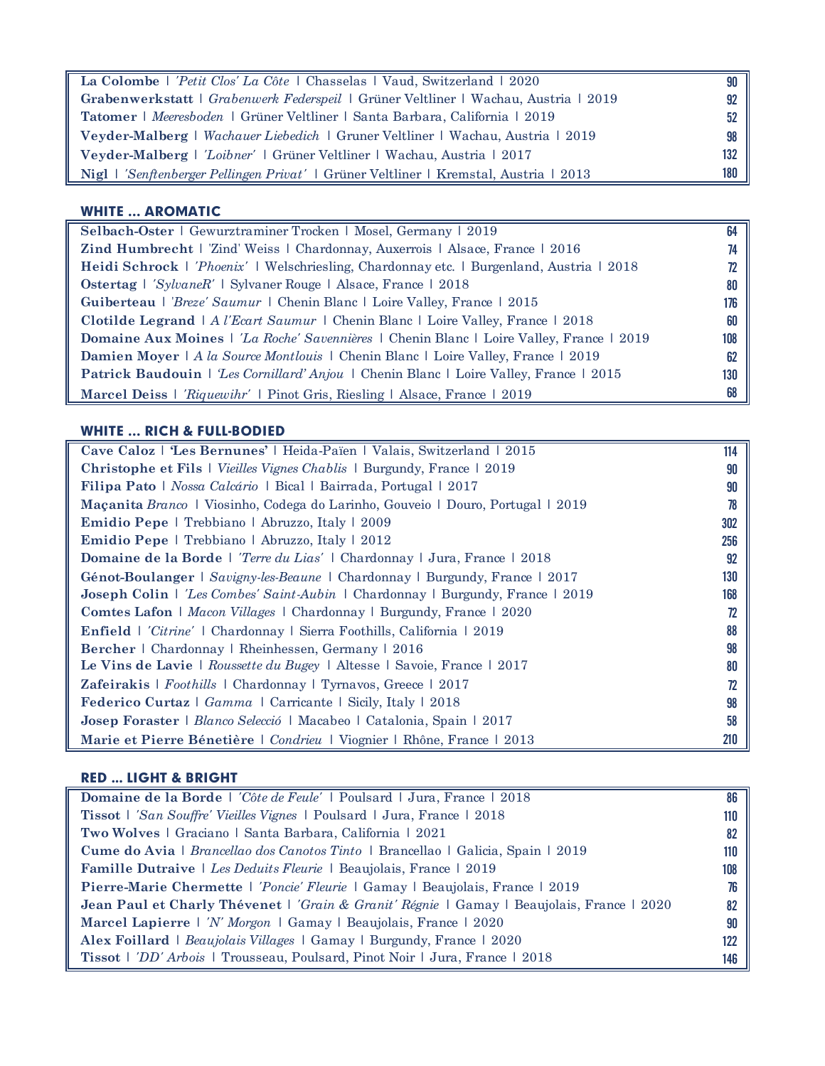| La Colombe   'Petit Clos' La Côte   Chasselas   Vaud, Switzerland   2020               | 90  |
|----------------------------------------------------------------------------------------|-----|
| Grabenwerkstatt   Grabenwerk Federspeil   Grüner Veltliner   Wachau, Austria   2019    | 92  |
| <b>Tatomer</b>   Meeresboden   Grüner Veltliner   Santa Barbara, California   2019     | 52  |
| <b>Veyder-Malberg</b>   Wachauer Liebedich   Gruner Veltliner   Wachau, Austria   2019 | 98  |
| Veyder-Malberg   'Loibner'   Grüner Veltliner   Wachau, Austria   2017                 | 132 |
| Nigl   'Senftenberger Pellingen Privat'   Grüner Veltliner   Kremstal, Austria   2013  | 180 |

### WHITE … AROMATIC

| Selbach-Oster   Gewurztraminer Trocken   Mosel, Germany   2019                                  | 64  |
|-------------------------------------------------------------------------------------------------|-----|
| <b>Zind Humbrecht</b>   'Zind' Weiss   Chardonnay, Auxerrois   Alsace, France   2016            |     |
| Heidi Schrock   'Phoenix'   Welschriesling, Chardonnay etc.   Burgenland, Austria   2018        |     |
| <b>Ostertag</b>   <i>'SylvaneR'</i>   Sylvaner Rouge   Alsace, France   2018                    | 80  |
| Guiberteau   <i>Breze' Saumur</i>   Chenin Blanc   Loire Valley, France   2015                  | 176 |
| <b>Clotilde Legrand</b>   A <i>l'Ecart Saumur</i>   Chenin Blanc   Loire Valley, France   2018  | 60  |
| <b>Domaine Aux Moines</b>   'La Roche' Savennières   Chenin Blanc   Loire Valley, France   2019 | 108 |
| <b>Damien Moyer</b>   A la Source Montlouis   Chenin Blanc   Loire Valley, France   2019        | 62  |
| Patrick Baudouin   Les Cornillard' Anjou   Chenin Blanc   Loire Valley, France   2015           | 130 |
| Marcel Deiss   'Riquewihr'   Pinot Gris, Riesling   Alsace, France   2019                       | 68  |

# WHITE … RICH & FULL-BODIED

| Cave Caloz   'Les Bernunes'   Heida-Païen   Valais, Switzerland   2015                | 114 |
|---------------------------------------------------------------------------------------|-----|
| <b>Christophe et Fils</b>   <i>Vieilles Vignes Chablis</i>   Burgundy, France   2019  | 90  |
| <b>Filipa Pato</b>   <i>Nossa Calcário</i>   Bical   Bairrada, Portugal   2017        | 90  |
| Maçanita Branco   Viosinho, Codega do Larinho, Gouveio   Douro, Portugal   2019       | 78  |
| Emidio Pepe   Trebbiano   Abruzzo, Italy   2009                                       | 302 |
| Emidio Pepe   Trebbiano   Abruzzo, Italy   2012                                       | 256 |
| <b>Domaine de la Borde</b>   'Terre du Lias'   Chardonnay   Jura, France   2018       | 92  |
| Génot-Boulanger   Savigny-les-Beaune   Chardonnay   Burgundy, France   2017           | 130 |
| <b>Joseph Colin</b>   'Les Combes' Saint-Aubin   Chardonnay   Burgundy, France   2019 | 168 |
| <b>Comtes Lafon</b>   <i>Macon Villages</i>   Chardonnay   Burgundy, France   2020    | 72  |
| Enfield   'Citrine'   Chardonnay   Sierra Foothills, California   2019                | 88  |
| Bercher   Chardonnay   Rheinhessen, Germany   2016                                    | 98  |
| Le Vins de Lavie   Roussette du Bugey   Altesse   Savoie, France   2017               | 80  |
| <b>Zafeirakis</b>   Foothills   Chardonnay   Tyrnavos, Greece   2017                  | 72  |
| <b>Federico Curtaz</b>   Gamma   Carricante   Sicily, Italy   2018                    | 98  |
| Josep Foraster   Blanco Selecció   Macabeo   Catalonia, Spain   2017                  | 58  |
| Marie et Pierre Bénetière   Condrieu   Viognier   Rhône, France   2013                | 210 |

# RED ... LIGHT & BRIGHT

| Domaine de la Borde   'Côte de Feule'   Poulsard   Jura, France   2018                     | 86  |
|--------------------------------------------------------------------------------------------|-----|
| <b>Tissot</b>   'San Souffre' Vieilles Vignes   Poulsard   Jura, France   2018             | 110 |
| Two Wolves   Graciano   Santa Barbara, California   2021                                   | 82  |
| Cume do Avia   <i>Brancellao dos Canotos Tinto</i>   Brancellao   Galicia, Spain   2019    | 110 |
| <b>Famille Dutraive</b>   Les Deduits Fleurie   Beaujolais, France   2019                  | 108 |
| Pierre-Marie Chermette   'Poncie' Fleurie   Gamay   Beaujolais, France   2019              |     |
| Jean Paul et Charly Thévenet   'Grain & Granit' Régnie   Gamay   Beaujolais, France   2020 | 82  |
| <b>Marcel Lapierre</b>   <i>N' Morgon</i>   Gamay   Beaujolais, France   2020              | 90  |
| Alex Foillard   Beaujolais Villages   Gamay   Burgundy, France   2020                      | 122 |
| Tissot   <i>'DD' Arbois</i>   Trousseau, Poulsard, Pinot Noir   Jura, France   2018        | 146 |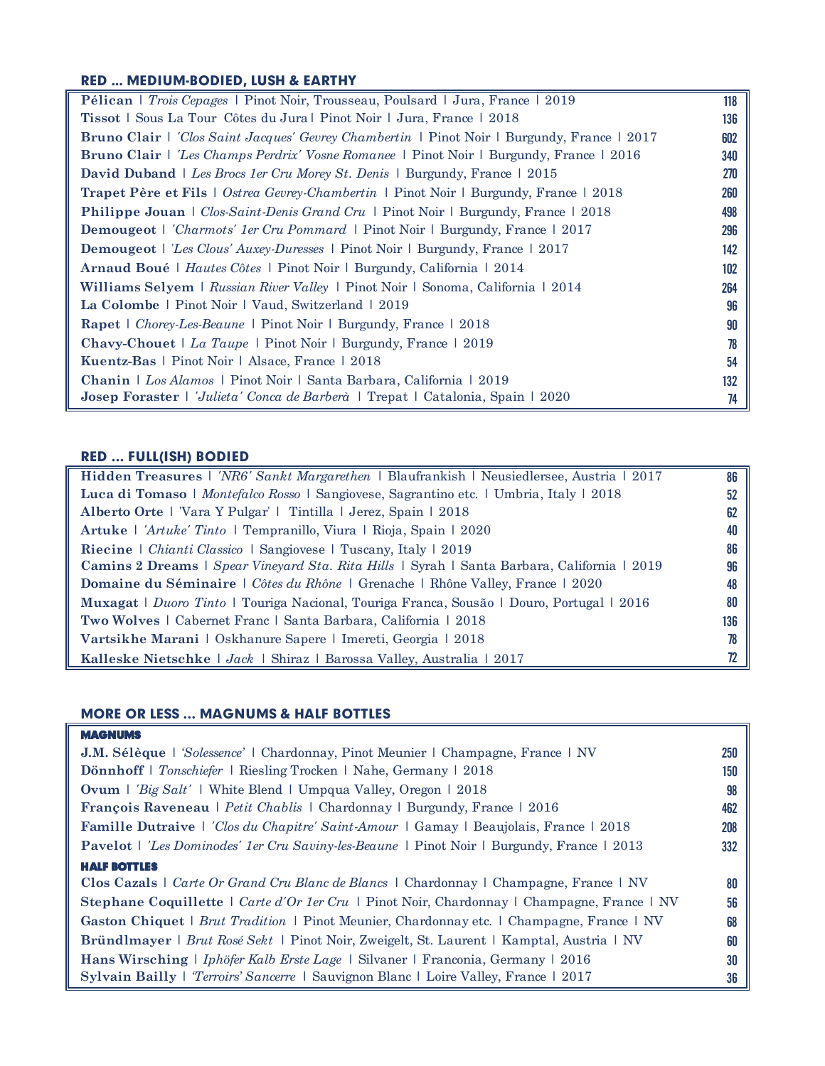## RED ... MEDIUM-BODIED, LUSH & EARTHY

| Pélican   Trois Cepages   Pinot Noir, Trousseau, Poulsard   Jura, France   2019                           | 118 |
|-----------------------------------------------------------------------------------------------------------|-----|
| Tissot   Sous La Tour Côtes du Jura   Pinot Noir   Jura, France   2018                                    | 136 |
| <b>Bruno Clair</b>   <i>'Clos Saint Jacques' Gevrey Chambertin</i>   Pinot Noir   Burgundy, France   2017 | 602 |
| <b>Bruno Clair</b>   <i>'Les Champs Perdrix' Vosne Romanee</i>   Pinot Noir   Burgundy, France   2016     | 340 |
| <b>David Duband</b>   Les Brocs 1er Cru Morey St. Denis   Burgundy, France   2015                         | 270 |
| <b>Trapet Père et Fils</b>   Ostrea Gevrey-Chambertin   Pinot Noir   Burgundy, France   2018              | 260 |
| <b>Philippe Jouan</b>   Clos-Saint-Denis Grand Cru   Pinot Noir   Burgundy, France   2018                 | 498 |
| <b>Demougeot</b>   'Charmots' 1er Cru Pommard   Pinot Noir   Burgundy, France   2017                      | 296 |
| <b>Demougeot</b>   <i>'Les Clous' Auxey-Duresses</i>   Pinot Noir   Burgundy, France   2017               | 142 |
| <b>Arnaud Boué</b>   <i>Hautes Côtes</i>   Pinot Noir   Burgundy, California   2014                       | 102 |
| Williams Selyem   Russian River Valley   Pinot Noir   Sonoma, California   2014                           | 264 |
| La Colombe   Pinot Noir   Vaud, Switzerland   2019                                                        | 96  |
| <b>Rapet</b>   <i>Chorey-Les-Beaune</i>   Pinot Noir   Burgundy, France   2018                            | 90  |
| <b>Chavy-Chouet</b>   La Taupe   Pinot Noir   Burgundy, France   2019                                     | 78  |
| Kuentz-Bas   Pinot Noir   Alsace, France   2018                                                           | 54  |
| Chanin   Los Alamos   Pinot Noir   Santa Barbara, California   2019                                       | 132 |
| Josep Foraster   <i>'Julieta' Conca de Barberà</i>   Trepat   Catalonia, Spain   2020                     | 74  |

# RED … FULL(ISH) BODIED

| Hidden Treasures   'NR6' Sankt Margarethen   Blaufrankish   Neusiedlersee, Austria   2017   | 86  |
|---------------------------------------------------------------------------------------------|-----|
| Luca di Tomaso   Montefalco Rosso   Sangiovese, Sagrantino etc.   Umbria, Italy   2018      | 52  |
| Alberto Orte   'Vara Y Pulgar'   Tintilla   Jerez, Spain   2018                             | 62  |
| Artuke   'Artuke' Tinto   Tempranillo, Viura   Rioja, Spain   2020                          | 40  |
| <b>Riecine</b>   <i>Chianti Classico</i>   Sangiovese   Tuscany, Italy   2019               | 86  |
| Camins 2 Dreams   Spear Vineyard Sta. Rita Hills   Syrah   Santa Barbara, California   2019 | 96  |
| <b>Domaine du Séminaire</b>   Côtes du Rhône   Grenache   Rhône Valley, France   2020       | 48  |
| Muxagat   Duoro Tinto   Touriga Nacional, Touriga Franca, Sousão   Douro, Portugal   2016   | 80  |
| <b>Two Wolves</b>   Cabernet Franc   Santa Barbara, California   2018                       | 136 |
| Vartsikhe Marani   Oskhanure Sapere   Imereti, Georgia   2018                               | 78  |
| Kalleske Nietschke   Jack   Shiraz   Barossa Valley, Australia   2017                       |     |

#### MORE OR LESS … MAGNUMS & HALF BOTTLES MAGNUMS

| MACNUMS                                                                                                  |     |
|----------------------------------------------------------------------------------------------------------|-----|
| <b>J.M. Sélèque</b>   <i>Solessence</i> '   Chardonnay, Pinot Meunier   Champagne, France   NV           | 250 |
| Dönnhoff   Tonschiefer   Riesling Trocken   Nahe, Germany   2018                                         | 150 |
| <b>Ovum</b>   'Big Salt'   White Blend   Umpqua Valley, Oregon   2018                                    | 98  |
| <b>François Raveneau</b>   <i>Petit Chablis</i>   Chardonnay   Burgundy, France   2016                   | 462 |
| Famille Dutraive   'Clos du Chapitre' Saint-Amour   Gamay   Beaujolais, France   2018                    | 208 |
| <b>Pavelot</b>   <i>'Les Dominodes' 1er Cru Saviny-les-Beaune</i>   Pinot Noir   Burgundy, France   2013 | 332 |
| <b>HALF BOTTLES</b>                                                                                      |     |
| <b>Clos Cazals</b>   Carte Or Grand Cru Blanc de Blancs   Chardonnay   Champagne, France   NV            | 80  |
| <b>Stephane Coquillette</b>   Carte d'Or 1er Cru   Pinot Noir, Chardonnay   Champagne, France   NV       | 56  |
| <b>Gaston Chiquet</b>   <i>Brut Tradition</i>   Pinot Meunier, Chardonnay etc.   Champagne, France   NV  | 68  |
| <b>Bründlmayer</b>   <i>Brut Rosé Sekt</i>   Pinot Noir, Zweigelt, St. Laurent   Kamptal, Austria   NV   | 60  |
| Hans Wirsching   Iphöfer Kalb Erste Lage   Silvaner   Franconia, Germany   2016                          | 30  |
| Sylvain Bailly   'Terroirs' Sancerre   Sauvignon Blanc   Loire Valley, France   2017                     | 36  |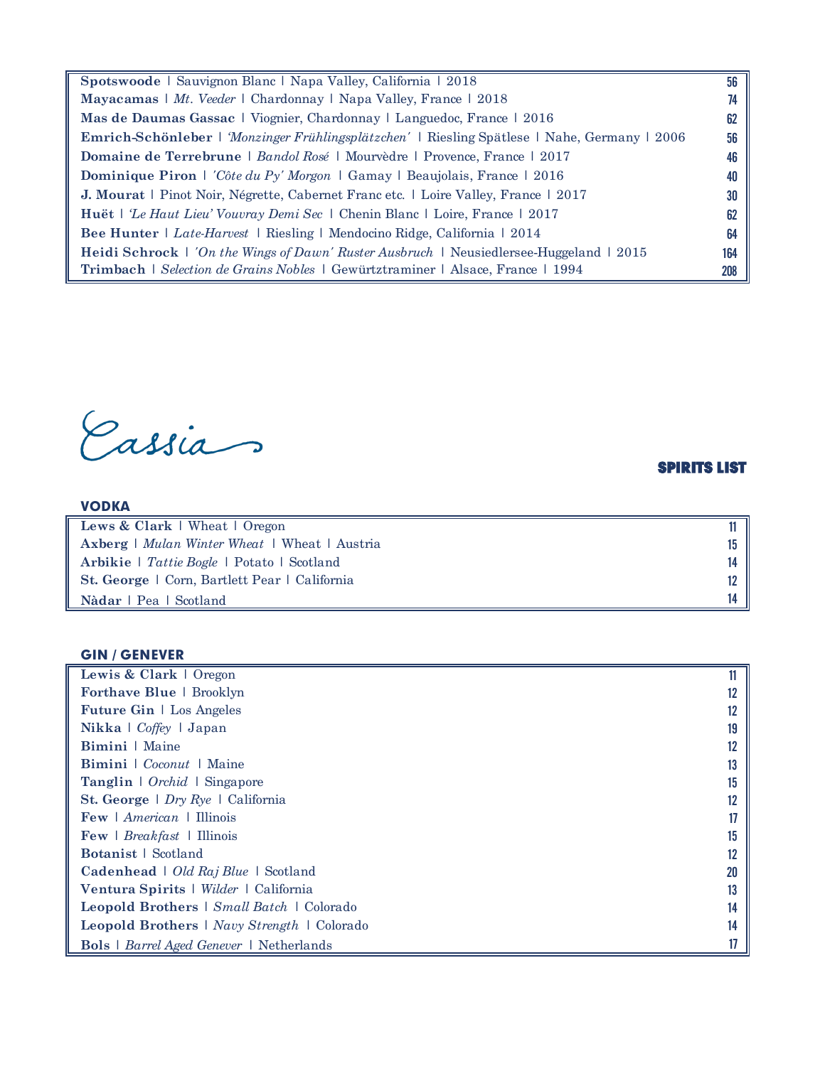**Spotswoode** | Sauvignon Blanc | Napa Valley, California | 2018 56 **Mayacamas** | *Mt. Veeder* | Chardonnay | Napa Valley, France | 2018 **74 Mas de Daumas Gassac** | Viognier, Chardonnay | Languedoc, France | 2016 **62 Emrich-Schönleber** | *'Monzinger Frühlingsplätzchen'* | Riesling Spätlese | Nahe, Germany | 2006 56 **Domaine de Terrebrune** | *Bandol Rosé* | Mourvèdre | Provence, France | 2017 46 **Dominique Piron** | *'Côte du Py' Morgon* | Gamay | Beaujolais, France | 2016 40 **J. Mourat** | Pinot Noir, Négrette, Cabernet Franc etc. | Loire Valley, France | 2017 30 **Huët** | *'Le Haut Lieu' Vouvray Demi Sec* | Chenin Blanc | Loire, France | 2017 62 **Bee Hunter** | *Late-Harvest* | Riesling | Mendocino Ridge, California | 2014 64 **Heidi Schrock** | *'On the Wings of Dawn' Ruster Ausbruch* | Neusiedlersee-Huggeland | 2015 164 **Trimbach** | *Selection de Grains Nobles* | Gewürtztraminer | Alsace, France | 1994 208

Cassia

### SPIRITS LIST

| Lews & Clark   Wheat   Oregon                               |  |
|-------------------------------------------------------------|--|
| <b>Axberg</b>   <i>Mulan Winter Wheat</i>   Wheat   Austria |  |
| Arbikie   Tattie Bogle   Potato   Scotland                  |  |
| St. George   Corn, Bartlett Pear   California               |  |
| Nàdar   Pea   Scotland                                      |  |

#### GIN / GENEVER

VODKA

| Lewis & Clark   Oregon                                    |    |
|-----------------------------------------------------------|----|
| <b>Forthave Blue</b>   Brooklyn                           |    |
| <b>Future Gin</b>   Los Angeles                           |    |
| Nikka   Coffey   Japan                                    | 19 |
| Bimini   Maine                                            |    |
| <b>Bimini</b> $\cdot$ <i>Coconut</i> $\cdot$ Maine        | 13 |
| Tanglin   Orchid   Singapore                              | 15 |
| <b>St. George</b> $\mid$ <i>Dry Rye</i> $\mid$ California |    |
| <b>Few</b>   $American$   Illinois                        |    |
| Few   Breakfast   Illinois                                | 15 |
| <b>Botanist</b>   Scotland                                |    |
| Cadenhead   Old Raj Blue   Scotland                       | 20 |
| Ventura Spirits   Wilder   California                     |    |
| Leopold Brothers   Small Batch   Colorado                 | 14 |
| <b>Leopold Brothers</b>   <i>Navy Strength</i>   Colorado | 14 |
| <b>Bols</b>   <i>Barrel Aged Genever</i>   Netherlands    |    |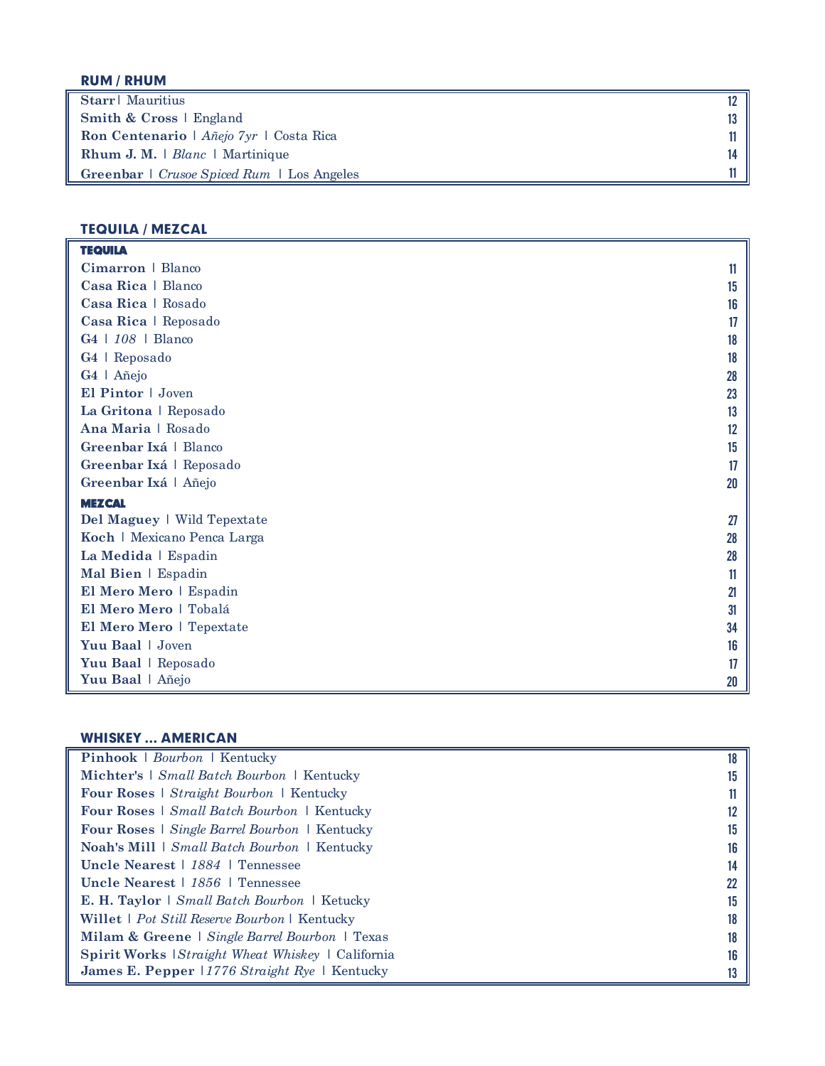# RUM / RHUM

| Starr   Mauritius                                                  |     |
|--------------------------------------------------------------------|-----|
| Smith & Cross   England                                            | 13. |
| <b>Ron Centenario</b>   $\hat{A} \tilde{n}$ ejo $7yr$   Costa Rica | 11  |
| <b>Rhum J. M.</b>   $Blanc$   Martinique                           | 14  |
| Greenbar   Crusoe Spiced Rum   Los Angeles                         |     |

### TEQUILA / MEZCAL

| <b>TEQUILA</b>              |    |
|-----------------------------|----|
| Cimarron   Blanco           | 11 |
| Casa Rica   Blanco          | 15 |
| Casa Rica   Rosado          | 16 |
| Casa Rica   Reposado        | 17 |
| G4   108   Blanco           | 18 |
| G4   Reposado               | 18 |
| G4   Añejo                  | 28 |
| El Pintor   Joven           | 23 |
| La Gritona   Reposado       | 13 |
| Ana Maria   Rosado          | 12 |
| Greenbar Ixá   Blanco       | 15 |
| Greenbar Ixá   Reposado     | 17 |
| Greenbar Ixá   Añejo        | 20 |
| <b>MEZCAL</b>               |    |
| Del Maguey   Wild Tepextate | 27 |
| Koch   Mexicano Penca Larga | 28 |
| La Medida   Espadin         | 28 |
| Mal Bien   Espadin          | 11 |
| El Mero Mero   Espadin      | 21 |
| El Mero Mero   Tobalá       | 31 |
| El Mero Mero   Tepextate    | 34 |
| Yuu Baal   Joven            | 16 |
| Yuu Baal   Reposado         | 17 |
| Yuu Baal   Añejo            | 20 |

# WHISKEY … AMERICAN

| Pinhook   Bourbon   Kentucky                               | 18 |
|------------------------------------------------------------|----|
| Michter's   Small Batch Bourbon   Kentucky                 | 15 |
| <b>Four Roses</b>   <i>Straight Bourbon</i>   Kentucky     |    |
| <b>Four Roses</b>   <i>Small Batch Bourbon</i>   Kentucky  |    |
| <b>Four Roses</b>   Single Barrel Bourbon   Kentucky       | 15 |
| <b>Noah's Mill</b>   <i>Small Batch Bourbon</i>   Kentucky | 16 |
| Uncle Nearest   1884   Tennessee                           | 14 |
| Uncle Nearest   1856   Tennessee                           |    |
| <b>E. H. Taylor</b>   <i>Small Batch Bourbon</i>   Ketucky | 15 |
| Willet   Pot Still Reserve Bourbon   Kentucky              |    |
| Milam & Greene   Single Barrel Bourbon   Texas             | 18 |
| Spirit Works <i>Straight Wheat Whiskey</i>   California    | 16 |
| <b>James E. Pepper</b> 11776 Straight Rye   Kentucky       |    |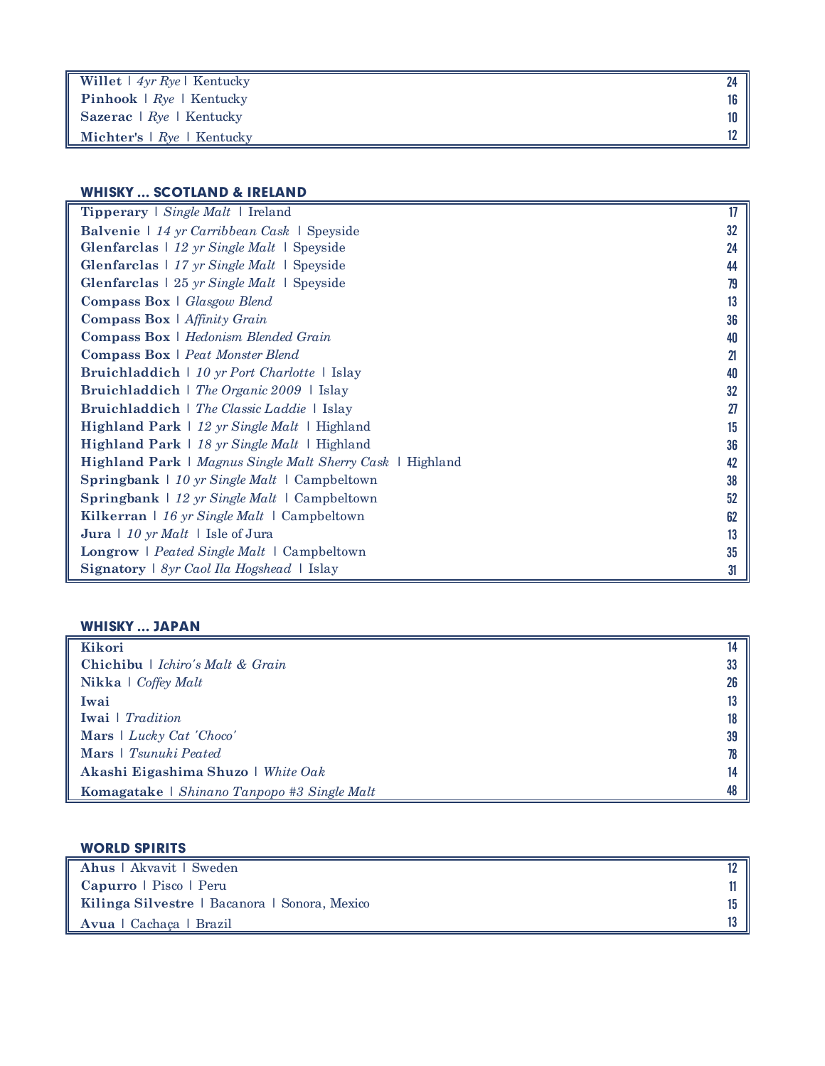| Willet $\mid$ 4yr Rye   Kentucky          |     |
|-------------------------------------------|-----|
| <b>Pinhook</b> $\mid$ Rye $\mid$ Kentucky | 16  |
| Sazerac $\mid Rye \mid$ Kentucky          | 10. |
| Michter's $\mid Rve \mid$ Kentucky        |     |

# WHISKY … SCOTLAND & IRELAND

| <b>Tipperary</b>   Single Malt   Ireland                                        | 17 |
|---------------------------------------------------------------------------------|----|
| Balvenie   14 yr Carribbean Cask   Speyside                                     | 32 |
| <b>Glenfarclas</b> $\vert$ 12 yr Single Malt $\vert$ Speyside                   | 24 |
| <b>Glenfarclas</b> $\mid$ 17 yr Single Malt $\mid$ Speyside                     | 44 |
| <b>Glenfarclas</b> $\frac{1}{25}$ <i>yr Single Malt</i> $\frac{1}{25}$ Speyside | 79 |
| <b>Compass Box</b>   Glasgow Blend                                              | 13 |
| <b>Compass Box</b> $\mid$ <i>Affinity Grain</i>                                 | 36 |
| <b>Compass Box</b>   Hedonism Blended Grain                                     | 40 |
| Compass Box   Peat Monster Blend                                                | 21 |
| <b>Bruichladdich</b>   10 yr Port Charlotte   Islay                             | 40 |
| Bruichladdich   The Organic 2009   Islay                                        | 32 |
| Bruichladdich   The Classic Laddie   Islay                                      | 27 |
| Highland Park   12 yr Single Malt   Highland                                    | 15 |
| <b>Highland Park</b>   18 yr Single Malt   Highland                             | 36 |
| <b>Highland Park</b>   Magnus Single Malt Sherry Cask   Highland                | 42 |
| Springbank $\frac{1}{2}$ 10 yr Single Malt $\frac{1}{2}$ Campbeltown            | 38 |
| <b>Springbank</b> $\mid$ 12 yr Single Malt $\mid$ Campbeltown                   | 52 |
| Kilkerran   16 yr Single Malt   Campbeltown                                     | 62 |
| Jura $\frac{1}{10}$ yr <i>Malt</i> $\frac{1}{1}$ Isle of Jura                   | 13 |
| <b>Longrow</b>   Peated Single Malt   Campbeltown                               | 35 |
| Signatory   8yr Caol Ila Hogshead   Islay                                       | 31 |

# WHISKY … JAPAN

| Kikori                                      |    |
|---------------------------------------------|----|
| Chichibu   Ichiro's Malt & Grain            | 33 |
| <b>Nikka</b> $\log$ Coffey Malt             | 26 |
| Iwai                                        | 13 |
| <b>Iwai</b>   <i>Tradition</i>              | 18 |
| Mars $\vert$ Lucky Cat 'Choco'              | 39 |
| Mars   Tsunuki Peated                       | 78 |
| Akashi Eigashima Shuzo   White Oak          | 14 |
| Komagatake   Shinano Tanpopo #3 Single Malt | 48 |

# WORLD SPIRITS

| Ahus   Akvavit   Sweden                       |  |
|-----------------------------------------------|--|
| $Capurro \mid$ Pisco $\mid$ Peru              |  |
| Kilinga Silvestre   Bacanora   Sonora, Mexico |  |
| Avua   Cachaca   Brazil                       |  |